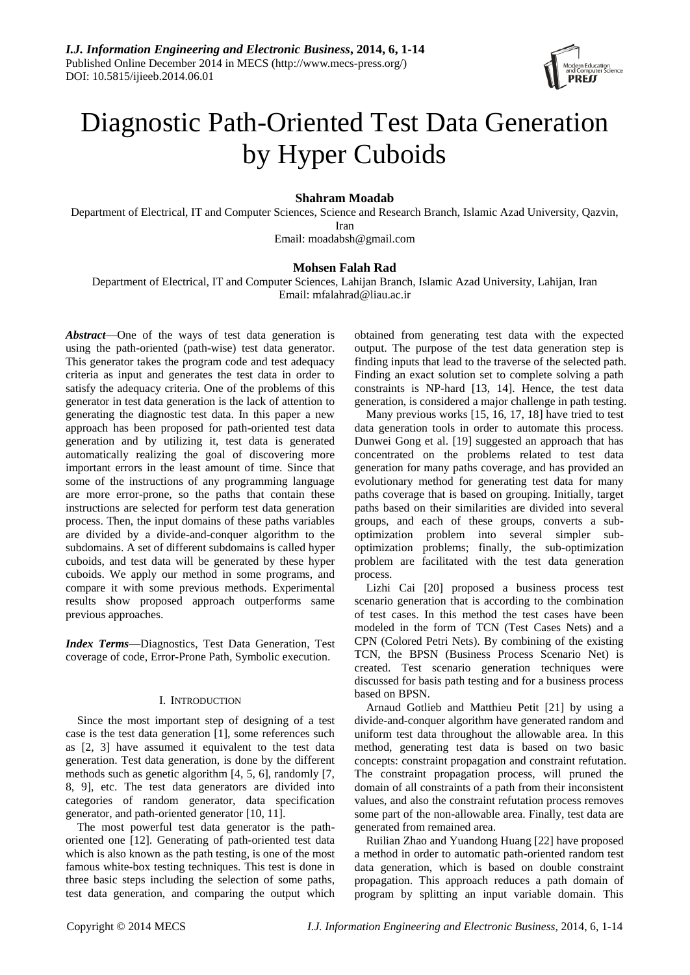

# Diagnostic Path-Oriented Test Data Generation by Hyper Cuboids

# **Shahram Moadab**

Department of Electrical, IT and Computer Sciences, Science and Research Branch, Islamic Azad University, Qazvin, Iran

Email: [moadabsh@gmail.com](mailto:moadabsh@gmail.com)

# **Mohsen Falah Rad**

Department of Electrical, IT and Computer Sciences, Lahijan Branch, Islamic Azad University, Lahijan, Iran Email: mfalahrad@liau.ac.ir

*Abstract*—One of the ways of test data generation is using the path-oriented (path-wise) test data generator. This generator takes the program code and test adequacy criteria as input and generates the test data in order to satisfy the adequacy criteria. One of the problems of this generator in test data generation is the lack of attention to generating the diagnostic test data. In this paper a new approach has been proposed for path-oriented test data generation and by utilizing it, test data is generated automatically realizing the goal of discovering more important errors in the least amount of time. Since that some of the instructions of any programming language are more error-prone, so the paths that contain these instructions are selected for perform test data generation process. Then, the input domains of these paths variables are divided by a divide-and-conquer algorithm to the subdomains. A set of different subdomains is called hyper cuboids, and test data will be generated by these hyper cuboids. We apply our method in some programs, and compare it with some previous methods. Experimental results show proposed approach outperforms same previous approaches.

*Index Terms*—Diagnostics, Test Data Generation, Test coverage of code, Error-Prone Path, Symbolic execution.

## I. INTRODUCTION

Since the most important step of designing of a test case is the test data generation [1], some references such as [2, 3] have assumed it equivalent to the test data generation. Test data generation, is done by the different methods such as genetic algorithm [4, 5, 6], randomly [7, 8, 9], etc. The test data generators are divided into categories of random generator, data specification generator, and path-oriented generator [10, 11].

The most powerful test data generator is the pathoriented one [12]. Generating of path-oriented test data which is also known as the path testing, is one of the most famous white-box testing techniques. This test is done in three basic steps including the selection of some paths, test data generation, and comparing the output which obtained from generating test data with the expected output. The purpose of the test data generation step is finding inputs that lead to the traverse of the selected path. Finding an exact solution set to complete solving a path constraints is NP-hard [13, 14]. Hence, the test data generation, is considered a major challenge in path testing.

Many previous works [15, 16, 17, 18] have tried to test data generation tools in order to automate this process. Dunwei Gong et al. [19] suggested an approach that has concentrated on the problems related to test data generation for many paths coverage, and has provided an evolutionary method for generating test data for many paths coverage that is based on grouping. Initially, target paths based on their similarities are divided into several groups, and each of these groups, converts a suboptimization problem into several simpler suboptimization problems; finally, the sub-optimization problem are facilitated with the test data generation process.

Lizhi Cai [20] proposed a business process test scenario generation that is according to the combination of test cases. In this method the test cases have been modeled in the form of TCN (Test Cases Nets) and a CPN (Colored Petri Nets). By combining of the existing TCN, the BPSN (Business Process Scenario Net) is created. Test scenario generation techniques were discussed for basis path testing and for a business process based on BPSN.

Arnaud Gotlieb and Matthieu Petit [21] by using a divide-and-conquer algorithm have generated random and uniform test data throughout the allowable area. In this method, generating test data is based on two basic concepts: constraint propagation and constraint refutation. The constraint propagation process, will pruned the domain of all constraints of a path from their inconsistent values, and also the constraint refutation process removes some part of the non-allowable area. Finally, test data are generated from remained area.

Ruilian Zhao and Yuandong Huang [22] have proposed a method in order to automatic path-oriented random test data generation, which is based on double constraint propagation. This approach reduces a path domain of program by splitting an input variable domain. This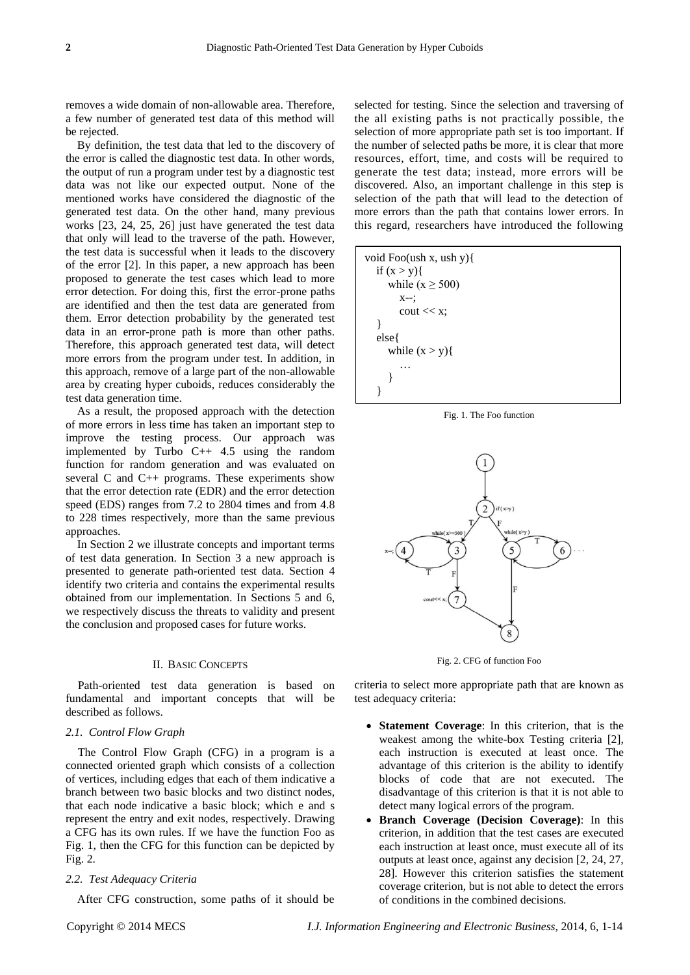removes a wide domain of non-allowable area. Therefore, a few number of generated test data of this method will be rejected.

By definition, the test data that led to the discovery of the error is called the diagnostic test data. In other words, the output of run a program under test by a diagnostic test data was not like our expected output. None of the mentioned works have considered the diagnostic of the generated test data. On the other hand, many previous works [23, 24, 25, 26] just have generated the test data that only will lead to the traverse of the path. However, the test data is successful when it leads to the discovery of the error [2]. In this paper, a new approach has been proposed to generate the test cases which lead to more error detection. For doing this, first the error-prone paths are identified and then the test data are generated from them. Error detection probability by the generated test data in an error-prone path is more than other paths. Therefore, this approach generated test data, will detect more errors from the program under test. In addition, in this approach, remove of a large part of the non-allowable area by creating hyper cuboids, reduces considerably the test data generation time.

As a result, the proposed approach with the detection of more errors in less time has taken an important step to improve the testing process. Our approach was implemented by Turbo C++ 4.5 using the random function for random generation and was evaluated on several C and C++ programs. These experiments show that the error detection rate (EDR) and the error detection speed (EDS) ranges from 7.2 to 2804 times and from 4.8 to 228 times respectively, more than the same previous approaches.

In Section 2 we illustrate concepts and important terms of test data generation. In Section 3 a new approach is presented to generate path-oriented test data. Section 4 identify two criteria and contains the experimental results obtained from our implementation. In Sections 5 and 6, we respectively discuss the threats to validity and present the conclusion and proposed cases for future works.

## II. BASIC CONCEPTS

Path-oriented test data generation is based on fundamental and important concepts that will be described as follows.

## *2.1. Control Flow Graph*

The Control Flow Graph (CFG) in a program is a connected oriented graph which consists of a collection of vertices, including edges that each of them indicative a branch between two basic blocks and two distinct nodes, that each node indicative a basic block; which e and s represent the entry and exit nodes, respectively. Drawing a CFG has its own rules. If we have the function Foo as Fig. 1, then the CFG for this function can be depicted by Fig. 2.

## *2.2. Test Adequacy Criteria*

After CFG construction, some paths of it should be

selected for testing. Since the selection and traversing of the all existing paths is not practically possible, the selection of more appropriate path set is too important. If the number of selected paths be more, it is clear that more resources, effort, time, and costs will be required to generate the test data; instead, more errors will be discovered. Also, an important challenge in this step is selection of the path that will lead to the detection of more errors than the path that contains lower errors. In this regard, researchers have introduced the following



Fig. 1. The Foo function



Fig. 2. CFG of function Foo

criteria to select more appropriate path that are known as test adequacy criteria:

- **Statement Coverage**: In this criterion, that is the weakest among the white-box Testing criteria [2], each instruction is executed at least once. The advantage of this criterion is the ability to identify blocks of code that are not executed. The disadvantage of this criterion is that it is not able to detect many logical errors of the program.
- **Branch Coverage (Decision Coverage)**: In this criterion, in addition that the test cases are executed each instruction at least once, must execute all of its outputs at least once, against any decision [2, 24, 27, 28]. However this criterion satisfies the statement coverage criterion, but is not able to detect the errors of conditions in the combined decisions.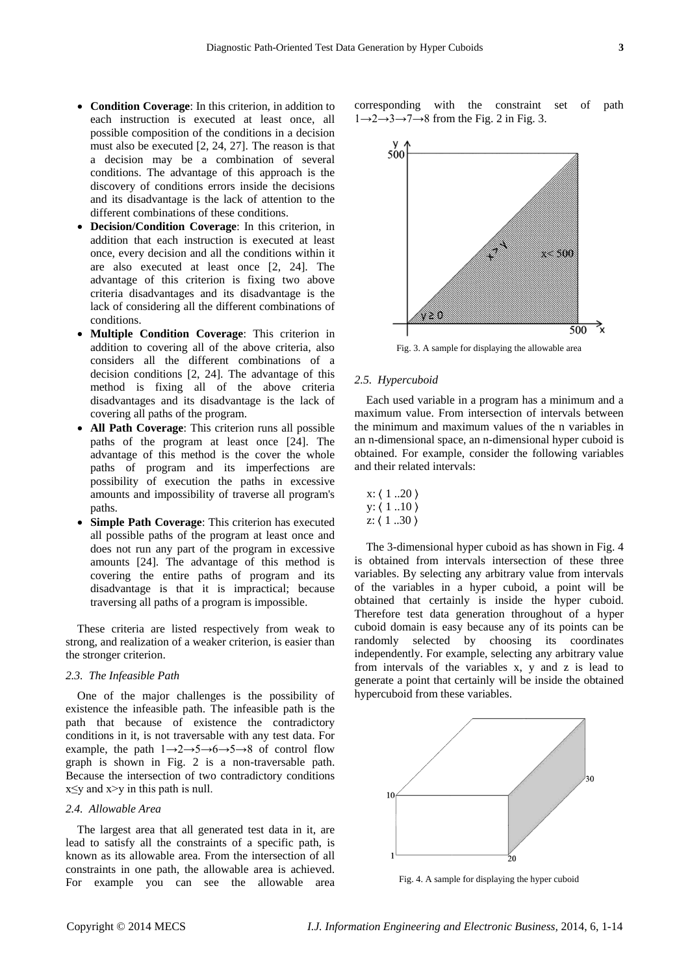- **Condition Coverage**: In this criterion, in addition to each instruction is executed at least once, all possible composition of the conditions in a decision must also be executed [2, 24, 27]. The reason is that a decision may be a combination of several conditions. The advantage of this approach is the discovery of conditions errors inside the decisions and its disadvantage is the lack of attention to the different combinations of these conditions.
- **Decision/Condition Coverage**: In this criterion, in addition that each instruction is executed at least once, every decision and all the conditions within it are also executed at least once [2, 24]. The advantage of this criterion is fixing two above criteria disadvantages and its disadvantage is the lack of considering all the different combinations of conditions.
- **Multiple Condition Coverage**: This criterion in addition to covering all of the above criteria, also considers all the different combinations of a decision conditions [2, 24]. The advantage of this method is fixing all of the above criteria disadvantages and its disadvantage is the lack of covering all paths of the program.
- **All Path Coverage**: This criterion runs all possible paths of the program at least once [24]. The advantage of this method is the cover the whole paths of program and its imperfections are possibility of execution the paths in excessive amounts and impossibility of traverse all program's paths.
- **Simple Path Coverage**: This criterion has executed all possible paths of the program at least once and does not run any part of the program in excessive amounts [24]. The advantage of this method is covering the entire paths of program and its disadvantage is that it is impractical; because traversing all paths of a program is impossible.

These criteria are listed respectively from weak to strong, and realization of a weaker criterion, is easier than the stronger criterion.

# *2.3. The Infeasible Path*

One of the major challenges is the possibility of existence the infeasible path. The infeasible path is the path that because of existence the contradictory conditions in it, is not traversable with any test data. For example, the path  $1 \rightarrow 2 \rightarrow 5 \rightarrow 6 \rightarrow 5 \rightarrow 8$  of control flow graph is shown in Fig. 2 is a non-traversable path. Because the intersection of two contradictory conditions  $x \leq y$  and  $x \geq y$  in this path is null.

## *2.4. Allowable Area*

The largest area that all generated test data in it, are lead to satisfy all the constraints of a specific path, is known as its allowable area. From the intersection of all constraints in one path, the allowable area is achieved. For example you can see the allowable area corresponding with the constraint set of path  $1\rightarrow 2\rightarrow 3\rightarrow 7\rightarrow 8$  from the Fig. 2 in Fig. 3.



Fig. 3. A sample for displaying the allowable area

## *2.5. Hypercuboid*

Each used variable in a program has a minimum and a maximum value. From intersection of intervals between the minimum and maximum values of the n variables in an n-dimensional space, an n-dimensional hyper cuboid is obtained. For example, consider the following variables and their related intervals:

|  | x: (120) |
|--|----------|
|  |          |
|  |          |

The 3-dimensional hyper cuboid as has shown in Fig. 4 is obtained from intervals intersection of these three variables. By selecting any arbitrary value from intervals of the variables in a hyper cuboid, a point will be obtained that certainly is inside the hyper cuboid. Therefore test data generation throughout of a hyper cuboid domain is easy because any of its points can be randomly selected by choosing its coordinates independently. For example, selecting any arbitrary value from intervals of the variables x, y and z is lead to generate a point that certainly will be inside the obtained hypercuboid from these variables.



Fig. 4. A sample for displaying the hyper cuboid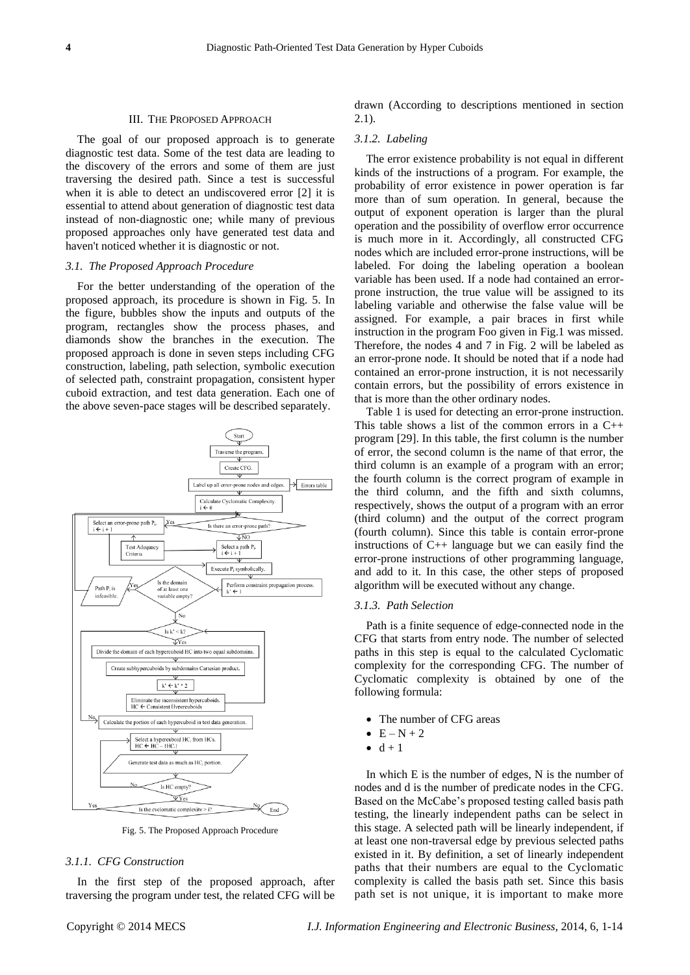#### III. THE PROPOSED APPROACH

The goal of our proposed approach is to generate diagnostic test data. Some of the test data are leading to the discovery of the errors and some of them are just traversing the desired path. Since a test is successful when it is able to detect an undiscovered error [2] it is essential to attend about generation of diagnostic test data instead of non-diagnostic one; while many of previous proposed approaches only have generated test data and haven't noticed whether it is diagnostic or not.

## *3.1. The Proposed Approach Procedure*

For the better understanding of the operation of the proposed approach, its procedure is shown in Fig. 5. In the figure, bubbles show the inputs and outputs of the program, rectangles show the process phases, and diamonds show the branches in the execution. The proposed approach is done in seven steps including CFG construction, labeling, path selection, symbolic execution of selected path, constraint propagation, consistent hyper cuboid extraction, and test data generation. Each one of the above seven-pace stages will be described separately.



Fig. 5. The Proposed Approach Procedure

## *3.1.1. CFG Construction*

In the first step of the proposed approach, after traversing the program under test, the related CFG will be drawn (According to descriptions mentioned in section 2.1).

#### *3.1.2. Labeling*

The error existence probability is not equal in different kinds of the instructions of a program. For example, the probability of error existence in power operation is far more than of sum operation. In general, because the output of exponent operation is larger than the plural operation and the possibility of overflow error occurrence is much more in it. Accordingly, all constructed CFG nodes which are included error-prone instructions, will be labeled. For doing the labeling operation a boolean variable has been used. If a node had contained an errorprone instruction, the true value will be assigned to its labeling variable and otherwise the false value will be assigned. For example, a pair braces in first while instruction in the program Foo given in Fig.1 was missed. Therefore, the nodes 4 and 7 in Fig. 2 will be labeled as an error-prone node. It should be noted that if a node had contained an error-prone instruction, it is not necessarily contain errors, but the possibility of errors existence in that is more than the other ordinary nodes.

Table 1 is used for detecting an error-prone instruction. This table shows a list of the common errors in a  $C_{++}$ program [29]. In this table, the first column is the number of error, the second column is the name of that error, the third column is an example of a program with an error; the fourth column is the correct program of example in the third column, and the fifth and sixth columns, respectively, shows the output of a program with an error (third column) and the output of the correct program (fourth column). Since this table is contain error-prone instructions of C++ language but we can easily find the error-prone instructions of other programming language, and add to it. In this case, the other steps of proposed algorithm will be executed without any change.

#### *3.1.3. Path Selection*

Path is a finite sequence of edge-connected node in the CFG that starts from entry node. The number of selected paths in this step is equal to the calculated Cyclomatic complexity for the corresponding CFG. The number of Cyclomatic complexity is obtained by one of the following formula:

- The number of CFG areas
- $\bullet$  E N + 2
- $\bullet$  d + 1

In which E is the number of edges, N is the number of nodes and d is the number of predicate nodes in the CFG. Based on the McCabe's proposed testing called basis path testing, the linearly independent paths can be select in this stage. A selected path will be linearly independent, if at least one non-traversal edge by previous selected paths existed in it. By definition, a set of linearly independent paths that their numbers are equal to the Cyclomatic complexity is called the basis path set. Since this basis path set is not unique, it is important to make more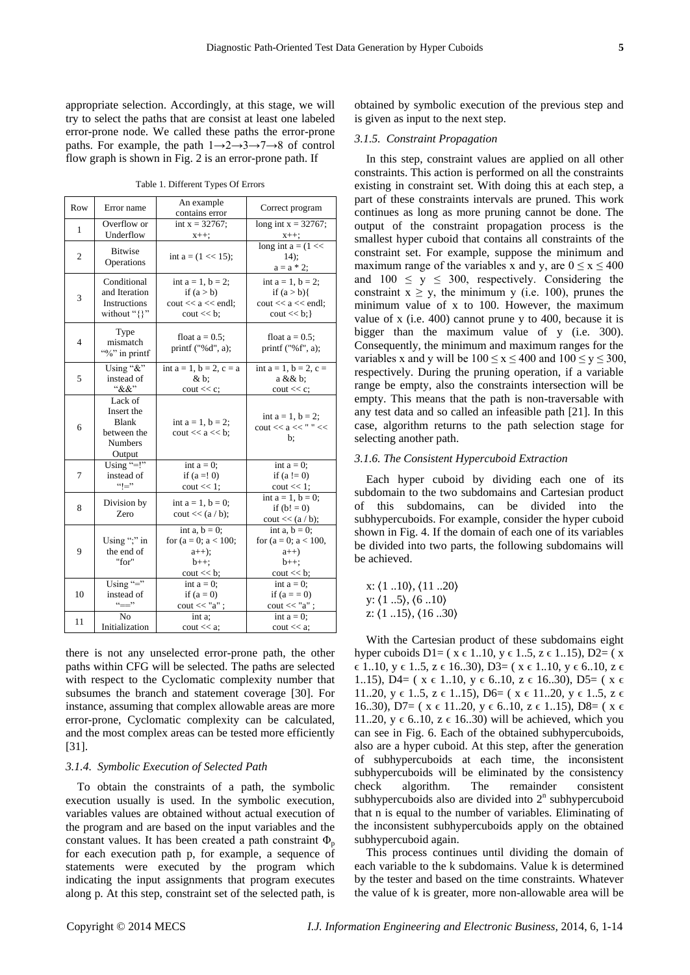appropriate selection. Accordingly, at this stage, we will try to select the paths that are consist at least one labeled error-prone node. We called these paths the error-prone paths. For example, the path  $1 \rightarrow 2 \rightarrow 3 \rightarrow 7 \rightarrow 8$  of control flow graph is shown in Fig. 2 is an error-prone path. If

Table 1. Different Types Of Errors

| Row | Error name                                                                | An example<br>contains error                                                                       | Correct program                                                                            |
|-----|---------------------------------------------------------------------------|----------------------------------------------------------------------------------------------------|--------------------------------------------------------------------------------------------|
| 1   | Overflow or<br>Underflow                                                  | int $x = 32767$ ;<br>$x++;$                                                                        | long int $x = 32767$ ;<br>$x++;$                                                           |
| 2   | <b>Bitwise</b><br>Operations                                              | int a = $(1 \ll 15)$ ;                                                                             | long int $a = (1 \lt\lt$<br>$14$ :<br>$a = a * 2;$                                         |
| 3   | Conditional<br>and Iteration<br>Instructions<br>without "{}"              | int $a = 1$ , $b = 2$ ;<br>if $(a > b)$<br>$\text{cout} \ll a \ll \text{endl}$ ;<br>$\cot \ll b$ ; | int $a = 1$ , $b = 2$ ;<br>if $(a > b)$<br>cout $<<$ a $<<$ endl;<br>$\text{cout} \ll b$ ; |
| 4   | Type<br>mismatch<br>"%" in printf                                         | float $a = 0.5$ ;<br>printf $("%d", a);$                                                           | float $a = 0.5$ ;<br>printf $("%f", a);$                                                   |
| 5   | Using "&"<br>instead of<br>``&&"                                          | int $a = 1$ , $b = 2$ , $c = a$<br>&b.<br>$\text{cout} \ll \text{c}$ ;                             | int $a = 1$ , $b = 2$ , $c =$<br>a && b;<br>$\cot \ll c$ ;                                 |
| 6   | Lack of<br>Insert the<br>Blank<br>between the<br><b>Numbers</b><br>Output | int $a = 1, b = 2$ ;<br>$\text{cout} \ll a \ll b$ :                                                | int $a = 1$ , $b = 2$ ;<br>$\text{cout} \ll a \ll "$ " $<<$<br>b:                          |
| 7   | Using "=!"<br>instead of<br>$``!="$                                       | int $a = 0$ ;<br>if $(a = 0)$<br>$\cot \ll 1$ ;                                                    | int $a = 0$ ;<br>if $(a != 0)$<br>$\cot \ll 1$ ;                                           |
| 8   | Division by<br>Zero                                                       | int $a = 1$ , $b = 0$ ;<br>$\text{cout} \ll (a/b);$                                                | int $a = 1$ , $b = 0$ ;<br>if $(b! = 0)$<br>$\text{cout} \ll (a/b);$                       |
| 9   | Using ";" in<br>the end of<br>"for"                                       | int a, $b = 0$ ;<br>for $(a = 0; a < 100;$<br>$a_{++}$ ;<br>$b++$ :<br>$\cot \ll b$ ;              | int a, $b = 0$ ;<br>for $(a = 0; a < 100,$<br>$a++)$<br>$b++$ :<br>$\cot \ll b$ ;          |
| 10  | Using "="<br>instead of<br>$\leftarrow$ $\rightarrow$                     | int $a = 0$ ;<br>if $(a=0)$<br>$\text{cout} \ll \text{"a";}$                                       | int $a = 0$ ;<br>if $(a = 0)$<br>$\text{cout} \ll \text{"a";}$                             |
| 11  | N <sub>0</sub><br>Initialization                                          | int a:<br>$\text{cout} \ll a$                                                                      | int $a = 0$ ;<br>$\text{cout} \ll a$ ;                                                     |

there is not any unselected error-prone path, the other paths within CFG will be selected. The paths are selected with respect to the Cyclomatic complexity number that subsumes the branch and statement coverage [30]. For instance, assuming that complex allowable areas are more error-prone, Cyclomatic complexity can be calculated, and the most complex areas can be tested more efficiently [31].

## *3.1.4. Symbolic Execution of Selected Path*

To obtain the constraints of a path, the symbolic execution usually is used. In the symbolic execution, variables values are obtained without actual execution of the program and are based on the input variables and the constant values. It has been created a path constraint  $\Phi_p$ for each execution path p, for example, a sequence of statements were executed by the program which indicating the input assignments that program executes along p. At this step, constraint set of the selected path, is

obtained by symbolic execution of the previous step and is given as input to the next step.

#### *3.1.5. Constraint Propagation*

In this step, constraint values are applied on all other constraints. This action is performed on all the constraints existing in constraint set. With doing this at each step, a part of these constraints intervals are pruned. This work continues as long as more pruning cannot be done. The output of the constraint propagation process is the smallest hyper cuboid that contains all constraints of the constraint set. For example, suppose the minimum and maximum range of the variables x and y, are  $0 \le x \le 400$ and  $100 \le y \le 300$ , respectively. Considering the constraint  $x \ge y$ , the minimum y (i.e. 100), prunes the minimum value of x to 100. However, the maximum value of x (i.e. 400) cannot prune y to 400, because it is bigger than the maximum value of y (i.e. 300). Consequently, the minimum and maximum ranges for the variables x and y will be  $100 \le x \le 400$  and  $100 \le y \le 300$ , respectively. During the pruning operation, if a variable range be empty, also the constraints intersection will be empty. This means that the path is non-traversable with any test data and so called an infeasible path [21]. In this case, algorithm returns to the path selection stage for selecting another path.

## *3.1.6. The Consistent Hypercuboid Extraction*

Each hyper cuboid by dividing each one of its subdomain to the two subdomains and Cartesian product of this subdomains, can be divided into the subhypercuboids. For example, consider the hyper cuboid shown in Fig. 4. If the domain of each one of its variables be divided into two parts, the following subdomains will be achieved.

x: 〈1 ..10〉, 〈11 ..20〉 y:  $\langle 1 \ldots 5 \rangle$ ,  $\langle 6 \ldots 10 \rangle$ z: 〈1 ..15〉, 〈16 ..30〉

With the Cartesian product of these subdomains eight hyper cuboids D1= ( $x \in 1..10$ ,  $y \in 1..5$ ,  $z \in 1..15$ ), D2= ( $x$  $\epsilon$  1..10, y  $\epsilon$  1..5, z  $\epsilon$  16..30), D3= (x  $\epsilon$  1..10, y  $\epsilon$  6..10, z  $\epsilon$ 1..15), D4= ( $x \in 1.10$ ,  $y \in 6.10$ ,  $z \in 16.30$ ), D5= ( $x \in$ 11..20,  $y \in 1..5$ ,  $z \in 1..15$ ),  $D6=$  ( $x \in 11..20$ ,  $y \in 1..5$ ,  $z \in$ 16..30), D7= ( $x \in 11..20$ ,  $y \in 6..10$ ,  $z \in 1..15$ ), D8= ( $x \in$ 11..20,  $y \in 6.10$ ,  $z \in 16.30$ ) will be achieved, which you can see in Fig. 6. Each of the obtained subhypercuboids, also are a hyper cuboid. At this step, after the generation of subhypercuboids at each time, the inconsistent subhypercuboids will be eliminated by the consistency check algorithm. The remainder consistent subhypercuboids also are divided into  $2<sup>n</sup>$  subhypercuboid that n is equal to the number of variables. Eliminating of the inconsistent subhypercuboids apply on the obtained subhypercuboid again.

This process continues until dividing the domain of each variable to the k subdomains. Value k is determined by the tester and based on the time constraints. Whatever the value of k is greater, more non-allowable area will be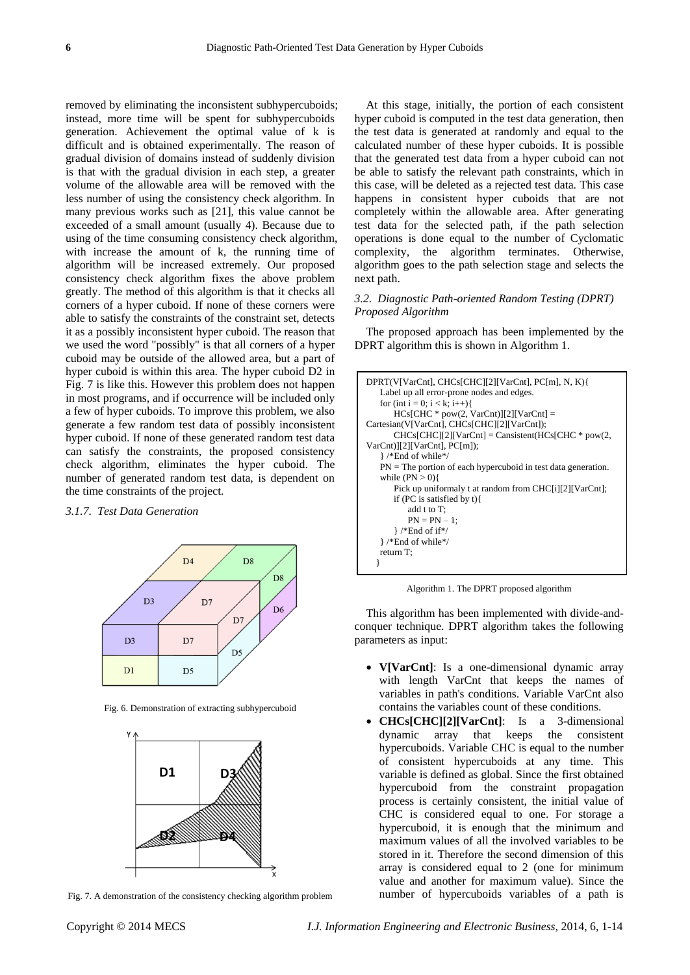removed by eliminating the inconsistent subhypercuboids; instead, more time will be spent for subhypercuboids generation. Achievement the optimal value of k is difficult and is obtained experimentally. The reason of gradual division of domains instead of suddenly division is that with the gradual division in each step, a greater volume of the allowable area will be removed with the less number of using the consistency check algorithm. In many previous works such as [21], this value cannot be exceeded of a small amount (usually 4). Because due to using of the time consuming consistency check algorithm, with increase the amount of k, the running time of algorithm will be increased extremely. Our proposed consistency check algorithm fixes the above problem greatly. The method of this algorithm is that it checks all corners of a hyper cuboid. If none of these corners were able to satisfy the constraints of the constraint set, detects it as a possibly inconsistent hyper cuboid. The reason that we used the word "possibly" is that all corners of a hyper cuboid may be outside of the allowed area, but a part of hyper cuboid is within this area. The hyper cuboid D2 in Fig. 7 is like this. However this problem does not happen in most programs, and if occurrence will be included only a few of hyper cuboids. To improve this problem, we also generate a few random test data of possibly inconsistent hyper cuboid. If none of these generated random test data can satisfy the constraints, the proposed consistency check algorithm, eliminates the hyper cuboid. The number of generated random test data, is dependent on the time constraints of the project.

## *3.1.7. Test Data Generation*



Fig. 6. Demonstration of extracting subhypercuboid



Fig. 7. A demonstration of the consistency checking algorithm problem

At this stage, initially, the portion of each consistent hyper cuboid is computed in the test data generation, then the test data is generated at randomly and equal to the calculated number of these hyper cuboids. It is possible that the generated test data from a hyper cuboid can not be able to satisfy the relevant path constraints, which in this case, will be deleted as a rejected test data. This case happens in consistent hyper cuboids that are not completely within the allowable area. After generating test data for the selected path, if the path selection operations is done equal to the number of Cyclomatic complexity, the algorithm terminates. Otherwise, algorithm goes to the path selection stage and selects the next path.

## *3.2. Diagnostic Path-oriented Random Testing (DPRT) Proposed Algorithm*

The proposed approach has been implemented by the DPRT algorithm this is shown in Algorithm 1.

| DPRT(V[VarCnt], CHCs[CHC][2][VarCnt], PC[m], N, K){             |
|-----------------------------------------------------------------|
| Label up all error-prone nodes and edges.                       |
| for (int i = 0; i < k; i++){                                    |
| $HCs[CHC * pow(2, VarCnt)][2][VarCnt] =$                        |
| Cartesian(V[VarCnt], CHCs[CHC][2][VarCnt]);                     |
| $CHCs[CHC][2][VarCnt] =$ Cansistent( $HCs[CHC * pow(2,$         |
| $VarCnt$ ][2][ $VarCnt$ ], $PC[m]$ ;                            |
| }/*End of while*/                                               |
| $PN$ = The portion of each hypercuboid in test data generation. |
| while $(PN > 0)$                                                |
| Pick up uniformaly t at random from CHC[i][2][VarCnt];          |
| if (PC is satisfied by $t$ ) {                                  |
| add $t$ to $T$ ;                                                |
| $PN = PN - 1$ ;                                                 |
| $\}$ /*End of if*/                                              |
| }/*End of while*/                                               |
| return $T$ :                                                    |
|                                                                 |

Algorithm 1. The DPRT proposed algorithm

This algorithm has been implemented with divide-andconquer technique. DPRT algorithm takes the following parameters as input:

- **V[VarCnt]**: Is a one-dimensional dynamic array with length VarCnt that keeps the names of variables in path's conditions. Variable VarCnt also contains the variables count of these conditions.
- **CHCs[CHC][2][VarCnt]**: Is a 3-dimensional dynamic array that keeps the consistent hypercuboids. Variable CHC is equal to the number of consistent hypercuboids at any time. This variable is defined as global. Since the first obtained hypercuboid from the constraint propagation process is certainly consistent, the initial value of CHC is considered equal to one. For storage a hypercuboid, it is enough that the minimum and maximum values of all the involved variables to be stored in it. Therefore the second dimension of this array is considered equal to 2 (one for minimum value and another for maximum value). Since the number of hypercuboids variables of a path is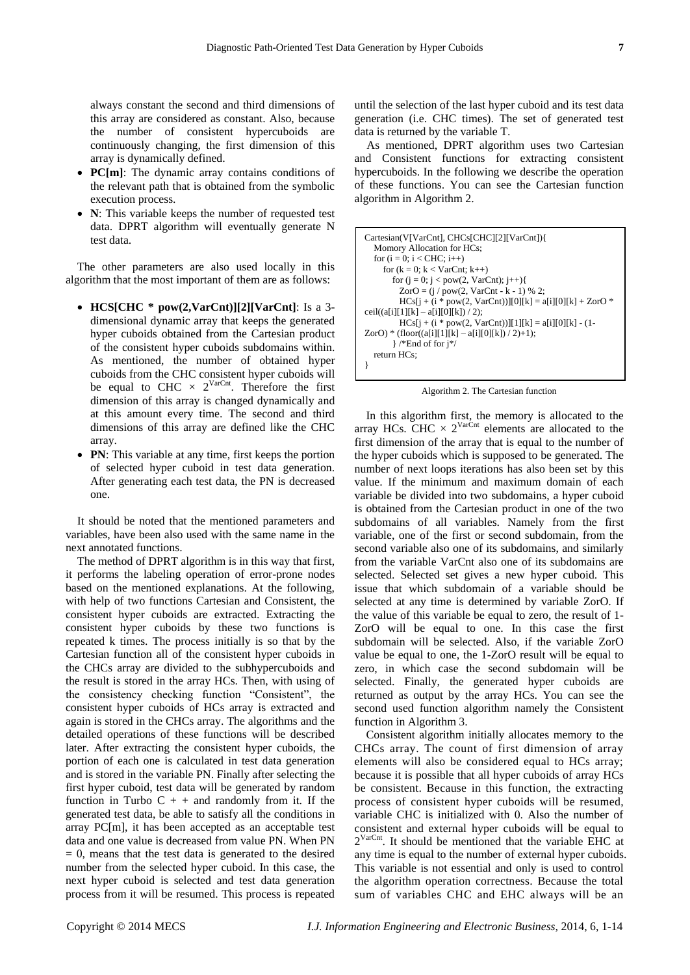always constant the second and third dimensions of this array are considered as constant. Also, because the number of consistent hypercuboids are continuously changing, the first dimension of this array is dynamically defined.

- **PC[m]**: The dynamic array contains conditions of the relevant path that is obtained from the symbolic execution process.
- **N**: This variable keeps the number of requested test data. DPRT algorithm will eventually generate N test data.

The other parameters are also used locally in this algorithm that the most important of them are as follows:

- **HCS[CHC \* pow(2,VarCnt)][2][VarCnt]**: Is a 3 dimensional dynamic array that keeps the generated hyper cuboids obtained from the Cartesian product of the consistent hyper cuboids subdomains within. As mentioned, the number of obtained hyper cuboids from the CHC consistent hyper cuboids will be equal to CHC  $\times$  2<sup>VarCnt</sup>. Therefore the first dimension of this array is changed dynamically and at this amount every time. The second and third dimensions of this array are defined like the CHC array.
- **PN**: This variable at any time, first keeps the portion of selected hyper cuboid in test data generation. After generating each test data, the PN is decreased one.

It should be noted that the mentioned parameters and variables, have been also used with the same name in the next annotated functions.

The method of DPRT algorithm is in this way that first, it performs the labeling operation of error-prone nodes based on the mentioned explanations. At the following, with help of two functions Cartesian and Consistent, the consistent hyper cuboids are extracted. Extracting the consistent hyper cuboids by these two functions is repeated k times. The process initially is so that by the Cartesian function all of the consistent hyper cuboids in the CHCs array are divided to the subhypercuboids and the result is stored in the array HCs. Then, with using of the consistency checking function "Consistent", the consistent hyper cuboids of HCs array is extracted and again is stored in the CHCs array. The algorithms and the detailed operations of these functions will be described later. After extracting the consistent hyper cuboids, the portion of each one is calculated in test data generation and is stored in the variable PN. Finally after selecting the first hyper cuboid, test data will be generated by random function in Turbo  $C + +$  and randomly from it. If the generated test data, be able to satisfy all the conditions in array PC[m], it has been accepted as an acceptable test data and one value is decreased from value PN. When PN  $= 0$ , means that the test data is generated to the desired number from the selected hyper cuboid. In this case, the next hyper cuboid is selected and test data generation process from it will be resumed. This process is repeated

until the selection of the last hyper cuboid and its test data generation (i.e. CHC times). The set of generated test data is returned by the variable T.

As mentioned, DPRT algorithm uses two Cartesian and Consistent functions for extracting consistent hypercuboids. In the following we describe the operation of these functions. You can see the Cartesian function algorithm in Algorithm 2.

| Cartesian(V[VarCnt], CHCs[CHC][2][VarCnt]){                |
|------------------------------------------------------------|
| Momory Allocation for HCs;                                 |
| for $(i = 0; i < CHC; i++)$                                |
| for $(k = 0; k < VarCnt; k++)$                             |
| for $(j = 0; j < pow(2, Varcnt); j++)$                     |
| ZorO = $(j / pow(2, VarCnt - k - 1) % 2;$                  |
| $HCs[i + (i * pow(2, VarCnt))][0][k] = a[i][0][k] + ZorO*$ |
| ceil((a[i][1][k] - a[i][0][k]) / 2);                       |
| $HCs[i + (i * pow(2, VarCnt))][1][k] = a[i][0][k] - (1-$   |
| ZorO) * (floor((a[i][1][k] - a[i][0][k]) / 2)+1);          |
| $\}$ /*End of for $i$ */                                   |
| return HCs:                                                |
|                                                            |

Algorithm 2. The Cartesian function

In this algorithm first, the memory is allocated to the array HCs. CHC  $\times 2^{VarCht}$  elements are allocated to the first dimension of the array that is equal to the number of the hyper cuboids which is supposed to be generated. The number of next loops iterations has also been set by this value. If the minimum and maximum domain of each variable be divided into two subdomains, a hyper cuboid is obtained from the Cartesian product in one of the two subdomains of all variables. Namely from the first variable, one of the first or second subdomain, from the second variable also one of its subdomains, and similarly from the variable VarCnt also one of its subdomains are selected. Selected set gives a new hyper cuboid. This issue that which subdomain of a variable should be selected at any time is determined by variable ZorO. If the value of this variable be equal to zero, the result of 1- ZorO will be equal to one. In this case the first subdomain will be selected. Also, if the variable ZorO value be equal to one, the 1-ZorO result will be equal to zero, in which case the second subdomain will be selected. Finally, the generated hyper cuboids are returned as output by the array HCs. You can see the second used function algorithm namely the Consistent function in Algorithm 3.

Consistent algorithm initially allocates memory to the CHCs array. The count of first dimension of array elements will also be considered equal to HCs array; because it is possible that all hyper cuboids of array HCs be consistent. Because in this function, the extracting process of consistent hyper cuboids will be resumed, variable CHC is initialized with 0. Also the number of consistent and external hyper cuboids will be equal to  $2^{VarCnt}$ . It should be mentioned that the variable EHC at any time is equal to the number of external hyper cuboids. This variable is not essential and only is used to control the algorithm operation correctness. Because the total sum of variables CHC and EHC always will be an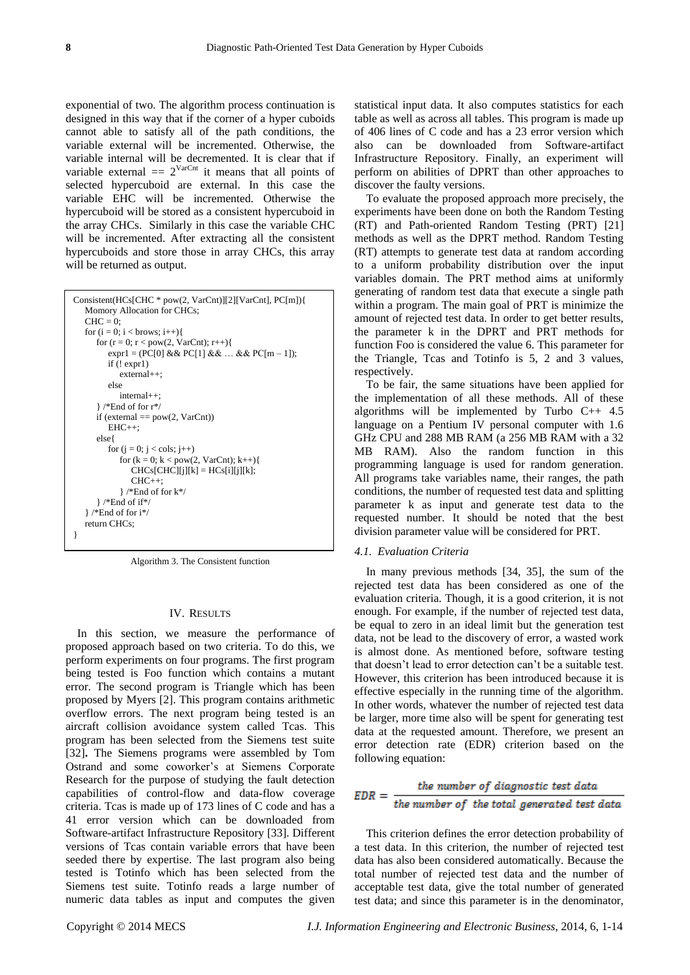exponential of two. The algorithm process continuation is designed in this way that if the corner of a hyper cuboids cannot able to satisfy all of the path conditions, the variable external will be incremented. Otherwise, the variable internal will be decremented. It is clear that if variable external  $= 2^{VarCut}$  it means that all points of selected hypercuboid are external. In this case the variable EHC will be incremented. Otherwise the hypercuboid will be stored as a consistent hypercuboid in the array CHCs. Similarly in this case the variable CHC will be incremented. After extracting all the consistent hypercuboids and store those in array CHCs, this array will be returned as output.

| Consistent(HCs[CHC * pow(2, VarCnt)][2][VarCnt], PC[m]){<br>Momory Allocation for CHCs; |
|-----------------------------------------------------------------------------------------|
| $CHC = 0$ :                                                                             |
| for $(i = 0; i <$ brows; $i++)$ {                                                       |
| for $(r = 0; r < pow(2, VarCnt); r++)$                                                  |
| $\exp 1 = (PC[0] \&\& PC[1] \&\& \dots \&C[0] = 1$ ;                                    |
| if $(!expr1)$                                                                           |
| $external++$                                                                            |
| else                                                                                    |
| $internal++$ :                                                                          |
| $\}$ /*End of for r*/                                                                   |
| if (external $==pow(2, VarCnt)$ )                                                       |
| $EHC++$ :                                                                               |
| else {                                                                                  |
| for $(i = 0; j < \text{cols}; j++)$                                                     |
| for $(k = 0; k < pow(2, Varcnt); k++)$                                                  |
| $CHCs[CHC][j][k] = HCs[i][j][k];$                                                       |
| $CHC++$                                                                                 |
| $\}$ /*End of for k*/                                                                   |
| $\}$ /*End of if*/<br>$\}$ /*End of for $i*/$                                           |
| return CHCs;                                                                            |
|                                                                                         |
|                                                                                         |

Algorithm 3. The Consistent function

#### IV. RESULTS

In this section, we measure the performance of proposed approach based on two criteria. To do this, we perform experiments on four programs. The first program being tested is Foo function which contains a mutant error. The second program is Triangle which has been proposed by Myers [2]. This program contains arithmetic overflow errors. The next program being tested is an aircraft collision avoidance system called Tcas. This program has been selected from the Siemens test suite [32]**.** The Siemens programs were assembled by Tom Ostrand and some coworker's at Siemens Corporate Research for the purpose of studying the fault detection capabilities of control-flow and data-flow coverage criteria. Tcas is made up of 173 lines of C code and has a 41 error version which can be downloaded from Software-artifact Infrastructure Repository [33]. Different versions of Tcas contain variable errors that have been seeded there by expertise. The last program also being tested is Totinfo which has been selected from the Siemens test suite. Totinfo reads a large number of numeric data tables as input and computes the given

statistical input data. It also computes statistics for each table as well as across all tables. This program is made up of 406 lines of C code and has a 23 error version which also can be downloaded from Software-artifact Infrastructure Repository. Finally, an experiment will perform on abilities of DPRT than other approaches to discover the faulty versions.

To evaluate the proposed approach more precisely, the experiments have been done on both the Random Testing (RT) and Path-oriented Random Testing (PRT) [21] methods as well as the DPRT method. Random Testing (RT) attempts to generate test data at random according to a uniform probability distribution over the input variables domain. The PRT method aims at uniformly generating of random test data that execute a single path within a program. The main goal of PRT is minimize the amount of rejected test data. In order to get better results, the parameter k in the DPRT and PRT methods for function Foo is considered the value 6. This parameter for the Triangle, Tcas and Totinfo is 5, 2 and 3 values, respectively.

To be fair, the same situations have been applied for the implementation of all these methods. All of these algorithms will be implemented by Turbo C++ 4.5 language on a Pentium IV personal computer with 1.6 GHz CPU and 288 MB RAM (a 256 MB RAM with a 32 MB RAM). Also the random function in this programming language is used for random generation. All programs take variables name, their ranges, the path conditions, the number of requested test data and splitting parameter k as input and generate test data to the requested number. It should be noted that the best division parameter value will be considered for PRT.

## *4.1. Evaluation Criteria*

In many previous methods [34, 35], the sum of the rejected test data has been considered as one of the evaluation criteria. Though, it is a good criterion, it is not enough. For example, if the number of rejected test data, be equal to zero in an ideal limit but the generation test data, not be lead to the discovery of error, a wasted work is almost done. As mentioned before, software testing that doesn't lead to error detection can't be a suitable test. However, this criterion has been introduced because it is effective especially in the running time of the algorithm. In other words, whatever the number of rejected test data be larger, more time also will be spent for generating test data at the requested amount. Therefore, we present an error detection rate (EDR) criterion based on the following equation:

$$
EDR = \frac{the \ number \ of \ diagnostic \ test \ data}{the \ number \ of \ the \ total \ generated \ test \ data}
$$

This criterion defines the error detection probability of a test data. In this criterion, the number of rejected test data has also been considered automatically. Because the total number of rejected test data and the number of acceptable test data, give the total number of generated test data; and since this parameter is in the denominator,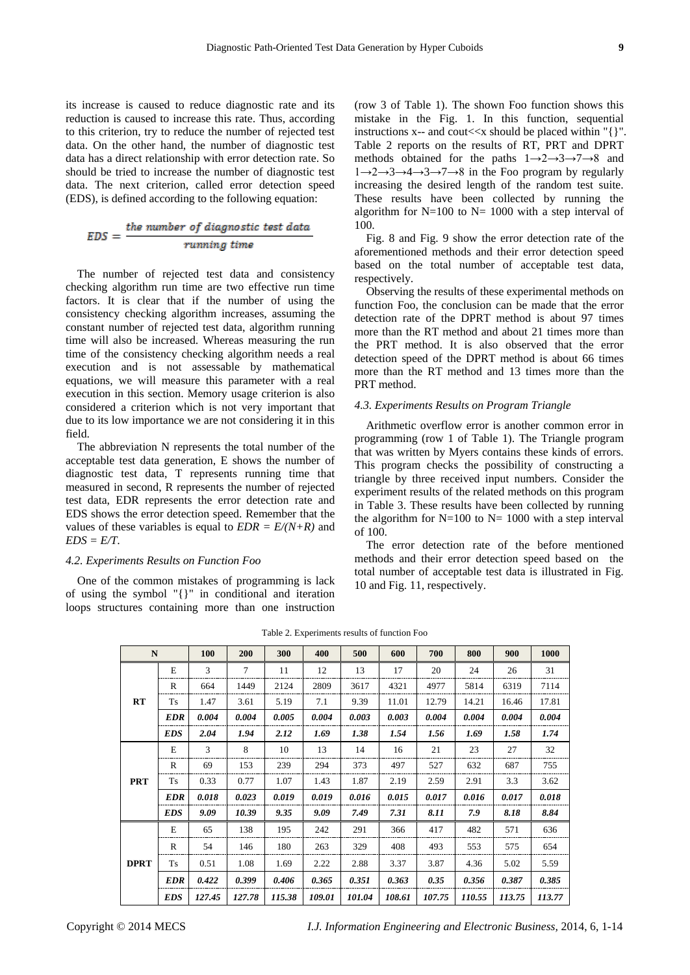its increase is caused to reduce diagnostic rate and its reduction is caused to increase this rate. Thus, according to this criterion, try to reduce the number of rejected test data. On the other hand, the number of diagnostic test data has a direct relationship with error detection rate. So should be tried to increase the number of diagnostic test data. The next criterion, called error detection speed (EDS), is defined according to the following equation:

$$
EDS = \frac{the number of diagnostic test data}{running time}
$$

The number of rejected test data and consistency checking algorithm run time are two effective run time factors. It is clear that if the number of using the consistency checking algorithm increases, assuming the constant number of rejected test data, algorithm running time will also be increased. Whereas measuring the run time of the consistency checking algorithm needs a real execution and is not assessable by mathematical equations, we will measure this parameter with a real execution in this section. Memory usage criterion is also considered a criterion which is not very important that due to its low importance we are not considering it in this field.

The abbreviation N represents the total number of the acceptable test data generation, E shows the number of diagnostic test data, T represents running time that measured in second, R represents the number of rejected test data, EDR represents the error detection rate and EDS shows the error detection speed. Remember that the values of these variables is equal to  $EDR = E/(N+R)$  and *EDS = E/T*.

#### *4.2. Experiments Results on Function Foo*

One of the common mistakes of programming is lack of using the symbol "{}" in conditional and iteration loops structures containing more than one instruction (row 3 of Table 1). The shown Foo function shows this mistake in the Fig. 1. In this function, sequential instructions x-- and cout $< should be placed within "{}".$ Table 2 reports on the results of RT, PRT and DPRT methods obtained for the paths  $1 \rightarrow 2 \rightarrow 3 \rightarrow 7 \rightarrow 8$  and  $1\rightarrow 2\rightarrow 3\rightarrow 4\rightarrow 3\rightarrow 7\rightarrow 8$  in the Foo program by regularly increasing the desired length of the random test suite. These results have been collected by running the algorithm for  $N=100$  to  $N=1000$  with a step interval of 100.

Fig. 8 and Fig. 9 show the error detection rate of the aforementioned methods and their error detection speed based on the total number of acceptable test data, respectively.

Observing the results of these experimental methods on function Foo, the conclusion can be made that the error detection rate of the DPRT method is about 97 times more than the RT method and about 21 times more than the PRT method. It is also observed that the error detection speed of the DPRT method is about 66 times more than the RT method and 13 times more than the PRT method.

#### *4.3. Experiments Results on Program Triangle*

Arithmetic overflow error is another common error in programming (row 1 of Table 1). The Triangle program that was written by Myers contains these kinds of errors. This program checks the possibility of constructing a triangle by three received input numbers. Consider the experiment results of the related methods on this program in Table 3. These results have been collected by running the algorithm for  $N=100$  to  $N=1000$  with a step interval of 100.

The error detection rate of the before mentioned methods and their error detection speed based on the total number of acceptable test data is illustrated in Fig. 10 and Fig. 11, respectively.

| N           |            | <b>100</b> | 200    | 300    | 400    | 500    | 600    | 700    | 800    | 900    | 1000   |
|-------------|------------|------------|--------|--------|--------|--------|--------|--------|--------|--------|--------|
| RT          | E          | 3          | $\tau$ | 11     | 12     | 13     | 17     | 20     | 24     | 26     | 31     |
|             | R          | 664        | 1449   | 2124   | 2809   | 3617   | 4321   | 4977   | 5814   | 6319   | 7114   |
|             | <b>Ts</b>  | 1.47       | 3.61   | 5.19   | 7.1    | 9.39   | 11.01  | 12.79  | 14.21  | 16.46  | 17.81  |
|             | <b>EDR</b> | 0.004      | 0.004  | 0.005  | 0.004  | 0.003  | 0.003  | 0.004  | 0.004  | 0.004  | 0.004  |
|             | <b>EDS</b> | 2.04       | 1.94   | 2.12   | 1.69   | 1.38   | 1.54   | 1.56   | 1.69   | 1.58   | 1.74   |
| <b>PRT</b>  | E          | 3          | 8      | 10     | 13     | 14     | 16     | 21     | 23     | 27     | 32     |
|             | R          | 69         | 153    | 239    | 294    | 373    | 497    | 527    | 632    | 687    | 755    |
|             | Ts         | 0.33       | 0.77   | 1.07   | 1.43   | 1.87   | 2.19   | 2.59   | 2.91   | 3.3    | 3.62   |
|             | <b>EDR</b> | 0.018      | 0.023  | 0.019  | 0.019  | 0.016  | 0.015  | 0.017  | 0.016  | 0.017  | 0.018  |
|             | <b>EDS</b> | 9.09       | 10.39  | 9.35   | 9.09   | 7.49   | 7.31   | 8.11   | 7.9    | 8.18   | 8.84   |
| <b>DPRT</b> | Е          | 65         | 138    | 195    | 242    | 291    | 366    | 417    | 482    | 571    | 636    |
|             | R          | 54         | 146    | 180    | 263    | 329    | 408    | 493    | 553    | 575    | 654    |
|             | Ts         | 0.51       | 1.08   | 1.69   | 2.22   | 2.88   | 3.37   | 3.87   | 4.36   | 5.02   | 5.59   |
|             | <b>EDR</b> | 0.422      | 0.399  | 0.406  | 0.365  | 0.351  | 0.363  | 0.35   | 0.356  | 0.387  | 0.385  |
|             | <b>EDS</b> | 127.45     | 127.78 | 115.38 | 109.01 | 101.04 | 108.61 | 107.75 | 110.55 | 113.75 | 113.77 |

Table 2. Experiments results of function Foo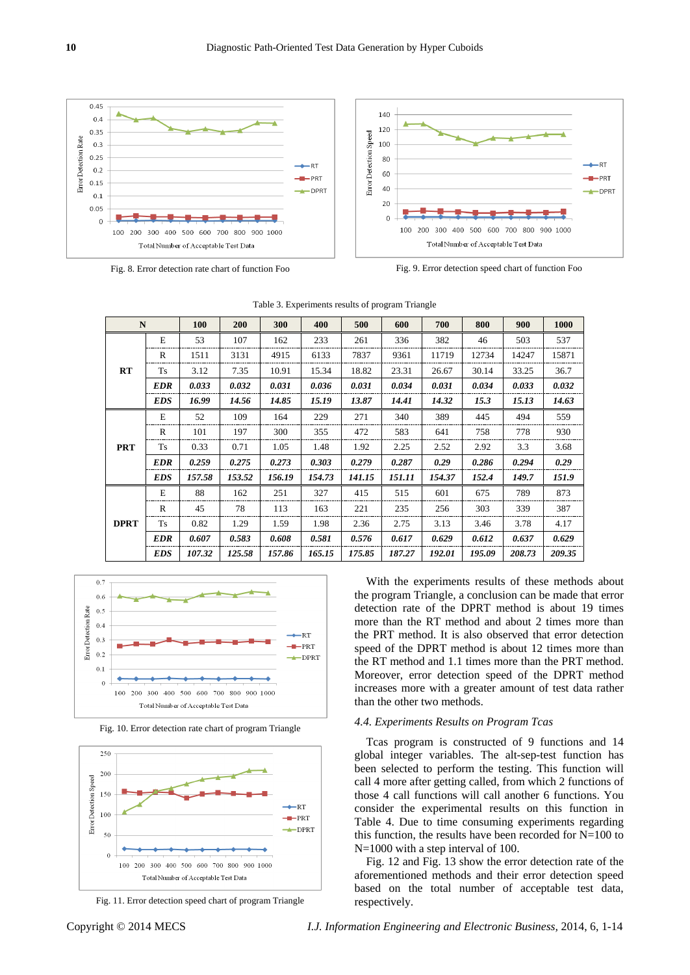

Fig. 8. Error detection rate chart of function Foo Fig. 9. Error detection speed chart of function Foo



| $\mathbf N$ |           | <b>100</b> | <b>200</b> | 300    | 400    | 500    | 600    | 700    | 800    | 900    | 1000   |
|-------------|-----------|------------|------------|--------|--------|--------|--------|--------|--------|--------|--------|
|             | E         | 53         | 107        | 162    | 233    | 261    | 336    | 382    | 46     | 503    | 537    |
|             | R         | 1511       | 3131       | 4915   | 6133   | 7837   | 9361   | 11719  | 12734  | 14247  | 15871  |
| RT          | <b>Ts</b> | 3.12       | 7.35       | 10.91  | 15.34  | 18.82  | 23.31  | 26.67  | 30.14  | 33.25  | 36.7   |
|             | EDR       | 0.033      | 0.032      | 0.031  | 0.036  | 0.031  | 0.034  | 0.031  | 0.034  | 0.033  | 0.032  |
|             | EDS       | 16.99      | 14.56      | 14.85  | 15.19  | 13.87  | 14.41  | 14.32  | 15.3   | 15.13  | 14.63  |
|             | E         | 52         | 109        | 164    | 229    | 271    | 340    | 389    | 445    | 494    | 559    |
| <b>PRT</b>  | R         | 101        | 197        | 300    | 355    | 472    | 583    | 641    | 758    | 778    | 930    |
|             | <b>Ts</b> | 0.33       | 0.71       | 1.05   | 1.48   | 1.92   | 2.25   | 2.52   | 2.92   | 3.3    | 3.68   |
|             | EDR       | 0.259      | 0.275      | 0.273  | 0.303  | 0.279  | 0.287  | 0.29   | 0.286  | 0.294  | 0.29   |
|             | EDS       | 157.58     | 153.52     | 156.19 | 154.73 | 141.15 | 151.11 | 154.37 | 152.4  | 149.7  | 151.9  |
| <b>DPRT</b> | E         | 88         | 162        | 251    | 327    | 415    | 515    | 601    | 675    | 789    | 873    |
|             | R         | 45         | 78         | 113    | 163    | 221    | 235    | 256    | 303    | 339    | 387    |
|             | <b>Ts</b> | 0.82       | 1.29       | 1.59   | 1.98   | 2.36   | 2.75   | 3.13   | 3.46   | 3.78   | 4.17   |
|             | EDR       | 0.607      | 0.583      | 0.608  | 0.581  | 0.576  | 0.617  | 0.629  | 0.612  | 0.637  | 0.629  |
|             | EDS       | 107.32     | 125.58     | 157.86 | 165.15 | 175.85 | 187.27 | 192.01 | 195.09 | 208.73 | 209.35 |

|  |  | Table 3. Experiments results of program Triangle |  |  |  |
|--|--|--------------------------------------------------|--|--|--|
|--|--|--------------------------------------------------|--|--|--|



Fig. 10. Error detection rate chart of program Triangle



Fig. 11. Error detection speed chart of program Triangle

With the experiments results of these methods about the program Triangle, a conclusion can be made that error detection rate of the DPRT method is about 19 times more than the RT method and about 2 times more than the PRT method. It is also observed that error detection speed of the DPRT method is about 12 times more than the RT method and 1.1 times more than the PRT method. Moreover, error detection speed of the DPRT method increases more with a greater amount of test data rather than the other two methods.

# *4.4. Experiments Results on Program Tcas*

Tcas program is constructed of 9 functions and 14 global integer variables. The alt-sep-test function has been selected to perform the testing. This function will call 4 more after getting called, from which 2 functions of those 4 call functions will call another 6 functions. You consider the experimental results on this function in Table 4. Due to time consuming experiments regarding this function, the results have been recorded for  $N=100$  to N=1000 with a step interval of 100.

Fig. 12 and Fig. 13 show the error detection rate of the aforementioned methods and their error detection speed based on the total number of acceptable test data, respectively.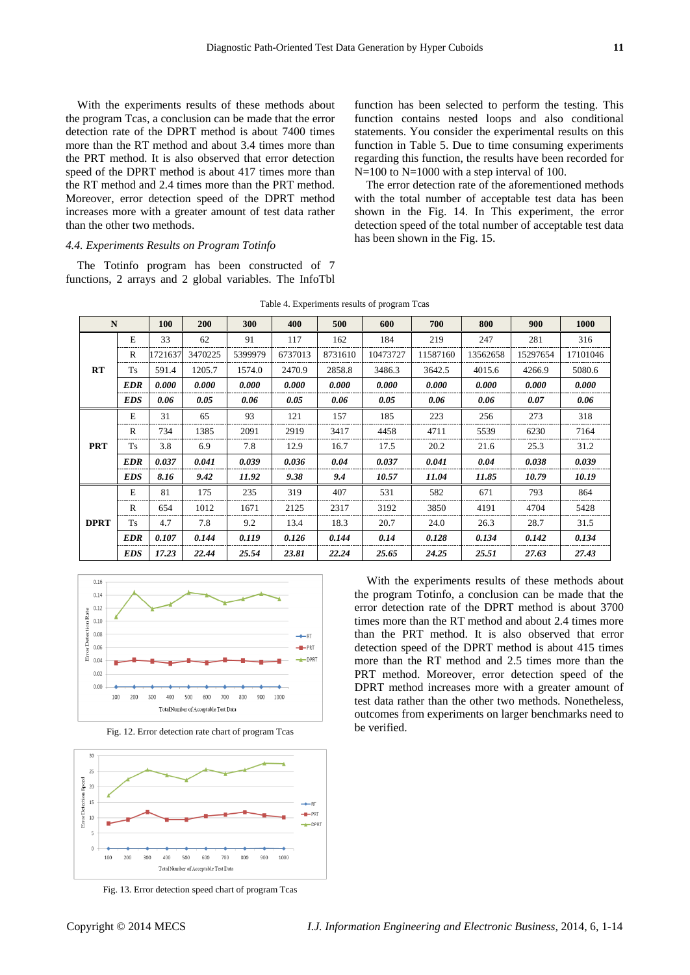With the experiments results of these methods about the program Tcas, a conclusion can be made that the error detection rate of the DPRT method is about 7400 times more than the RT method and about 3.4 times more than the PRT method. It is also observed that error detection speed of the DPRT method is about 417 times more than the RT method and 2.4 times more than the PRT method. Moreover, error detection speed of the DPRT method increases more with a greater amount of test data rather than the other two methods.

## *4.4. Experiments Results on Program Totinfo*

The Totinfo program has been constructed of 7 functions, 2 arrays and 2 global variables. The InfoTbl function has been selected to perform the testing. This function contains nested loops and also conditional statements. You consider the experimental results on this function in Table 5. Due to time consuming experiments regarding this function, the results have been recorded for N=100 to N=1000 with a step interval of 100.

The error detection rate of the aforementioned methods with the total number of acceptable test data has been shown in the Fig. 14. In This experiment, the error detection speed of the total number of acceptable test data has been shown in the Fig. 15.

| $\mathbf N$ |              | 100     | 200     | 300     | 400     | 500     | 600      | 700      | 800      | 900      | 1000     |
|-------------|--------------|---------|---------|---------|---------|---------|----------|----------|----------|----------|----------|
| RT          | E            | 33      | 62      | 91      | 117     | 162     | 184      | 219      | 247      | 281      | 316      |
|             | R            | 1721637 | 3470225 | 5399979 | 6737013 | 8731610 | 10473727 | 11587160 | 13562658 | 15297654 | 17101046 |
|             | Ts           | 591.4   | 1205.7  | 1574.0  | 2470.9  | 2858.8  | 3486.3   | 3642.5   | 4015.6   | 4266.9   | 5080.6   |
|             | <b>EDR</b>   | 0.000   | 0.000   | 0.000   | 0.000   | 0.000   | 0.000    | 0.000    | 0.000    | 0.000    | 0.000    |
|             | <b>EDS</b>   | 0.06    | 0.05    | 0.06    | 0.05    | 0.06    | 0.05     | 0.06     | 0.06     | 0.07     | 0.06     |
| <b>PRT</b>  | E            | 31      | 65      | 93      | 121     | 157     | 185      | 223      | 256      | 273      | 318      |
|             | R            | 734     | 1385    | 2091    | 2919    | 3417    | 4458     | 4711     | 5539     | 6230     | 7164     |
|             | Ts           | 3.8     | 6.9     | 7.8     | 12.9    | 16.7    | 17.5     | 20.2     | 21.6     | 25.3     | 31.2     |
|             | <b>EDR</b>   | 0.037   | 0.041   | 0.039   | 0.036   | 0.04    | 0.037    | 0.041    | 0.04     | 0.038    | 0.039    |
|             | <b>EDS</b>   | 8.16    | 9.42    | 11.92   | 9.38    | 9.4     | 10.57    | 11.04    | 11.85    | 10.79    | 10.19    |
|             | E            | 81      | 175     | 235     | 319     | 407     | 531      | 582      | 671      | 793      | 864      |
|             | $\mathbb{R}$ | 654     | 1012    | 1671    | 2125    | 2317    | 3192     | 3850     | 4191     | 4704     | 5428     |
| <b>DPRT</b> | <b>Ts</b>    | 4.7     | 7.8     | 9.2     | 13.4    | 18.3    | 20.7     | 24.0     | 26.3     | 28.7     | 31.5     |
|             | <b>EDR</b>   | 0.107   | 0.144   | 0.119   | 0.126   | 0.144   | 0.14     | 0.128    | 0.134    | 0.142    | 0.134    |
|             | <b>EDS</b>   | 17.23   | 22.44   | 25.54   | 23.81   | 22.24   | 25.65    | 24.25    | 25.51    | 27.63    | 27.43    |

Table 4. Experiments results of program Tcas







Fig. 13. Error detection speed chart of program Tcas

With the experiments results of these methods about the program Totinfo, a conclusion can be made that the error detection rate of the DPRT method is about 3700 times more than the RT method and about 2.4 times more than the PRT method. It is also observed that error detection speed of the DPRT method is about 415 times more than the RT method and 2.5 times more than the PRT method. Moreover, error detection speed of the DPRT method increases more with a greater amount of test data rather than the other two methods. Nonetheless, outcomes from experiments on larger benchmarks need to be verified.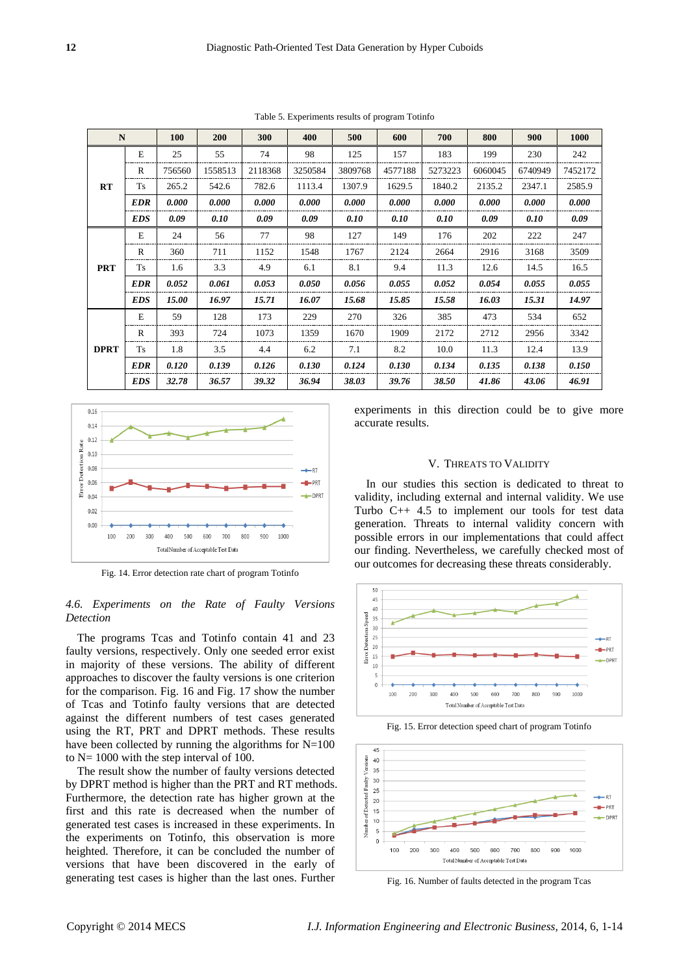|                                |            | <b>100</b> | 200     | 300     | 400     | 500     | 600     | 700     | 800     | 900     | <b>1000</b> |
|--------------------------------|------------|------------|---------|---------|---------|---------|---------|---------|---------|---------|-------------|
|                                | E          | 25         | 55      | 74      | 98      | 125     | 157     | 183     | 199     | 230     | 242         |
|                                | R          | 756560     | 1558513 | 2118368 | 3250584 | 3809768 | 4577188 | 5273223 | 6060045 | 6740949 | 7452172     |
| RT                             | Ts         | 265.2      | 542.6   | 782.6   | 1113.4  | 1307.9  | 1629.5  | 1840.2  | 2135.2  | 2347.1  | 2585.9      |
| N<br><b>PRT</b><br><b>DPRT</b> | <b>EDR</b> | 0.000      | 0.000   | 0.000   | 0.000   | 0.000   | 0.000   | 0.000   | 0.000   | 0.000   | 0.000       |
|                                | <b>EDS</b> | 0.09       | 0.10    | 0.09    | 0.09    | 0.10    | 0.10    | 0.10    | 0.09    | 0.10    | 0.09        |
|                                | E          | 24         | 56      | 77      | 98      | 127     | 149     | 176     | 202     | 222     | 247         |
|                                | R          | 360        | 711     | 1152    | 1548    | 1767    | 2124    | 2664    | 2916    | 3168    | 3509        |
|                                | Ts         | 1.6        | 3.3     | 4.9     | 6.1     | 8.1     | 9.4     | 11.3    | 12.6    | 14.5    | 16.5        |
|                                | EDR        | 0.052      | 0.061   | 0.053   | 0.050   | 0.056   | 0.055   | 0.052   | 0.054   | 0.055   | 0.055       |
|                                | <b>EDS</b> | 15.00      | 16.97   | 15.71   | 16.07   | 15.68   | 15.85   | 15.58   | 16.03   | 15.31   | 14.97       |
|                                | E          | 59         | 128     | 173     | 229     | 270     | 326     | 385     | 473     | 534     | 652         |
|                                | R          | 393        | 724     | 1073    | 1359    | 1670    | 1909    | 2172    | 2712    | 2956    | 3342        |
|                                | Ts         | 1.8        | 3.5     | 4.4     | 6.2     | 7.1     | 8.2     | 10.0    | 11.3    | 12.4    | 13.9        |
|                                | <b>EDR</b> | 0.120      | 0.139   | 0.126   | 0.130   | 0.124   | 0.130   | 0.134   | 0.135   | 0.138   | 0.150       |
|                                | <b>EDS</b> | 32.78      | 36.57   | 39.32   | 36.94   | 38.03   | 39.76   | 38.50   | 41.86   | 43.06   | 46.91       |

Table 5. Experiments results of program Totinfo



Fig. 14. Error detection rate chart of program Totinfo

# *4.6. Experiments on the Rate of Faulty Versions Detection*

The programs Tcas and Totinfo contain 41 and 23 faulty versions, respectively. Only one seeded error exist in majority of these versions. The ability of different approaches to discover the faulty versions is one criterion for the comparison. Fig. 16 and Fig. 17 show the number of Tcas and Totinfo faulty versions that are detected against the different numbers of test cases generated using the RT, PRT and DPRT methods. These results have been collected by running the algorithms for  $N=100$ to N= 1000 with the step interval of 100.

The result show the number of faulty versions detected by DPRT method is higher than the PRT and RT methods. Furthermore, the detection rate has higher grown at the first and this rate is decreased when the number of generated test cases is increased in these experiments. In the experiments on Totinfo, this observation is more heighted. Therefore, it can be concluded the number of versions that have been discovered in the early of generating test cases is higher than the last ones. Further

experiments in this direction could be to give more accurate results.

# V. THREATS TO VALIDITY

In our studies this section is dedicated to threat to validity, including external and internal validity. We use Turbo C++ 4.5 to implement our tools for test data generation. Threats to internal validity concern with possible errors in our implementations that could affect our finding. Nevertheless, we carefully checked most of our outcomes for decreasing these threats considerably.



Fig. 15. Error detection speed chart of program Totinfo



Fig. 16. Number of faults detected in the program Tcas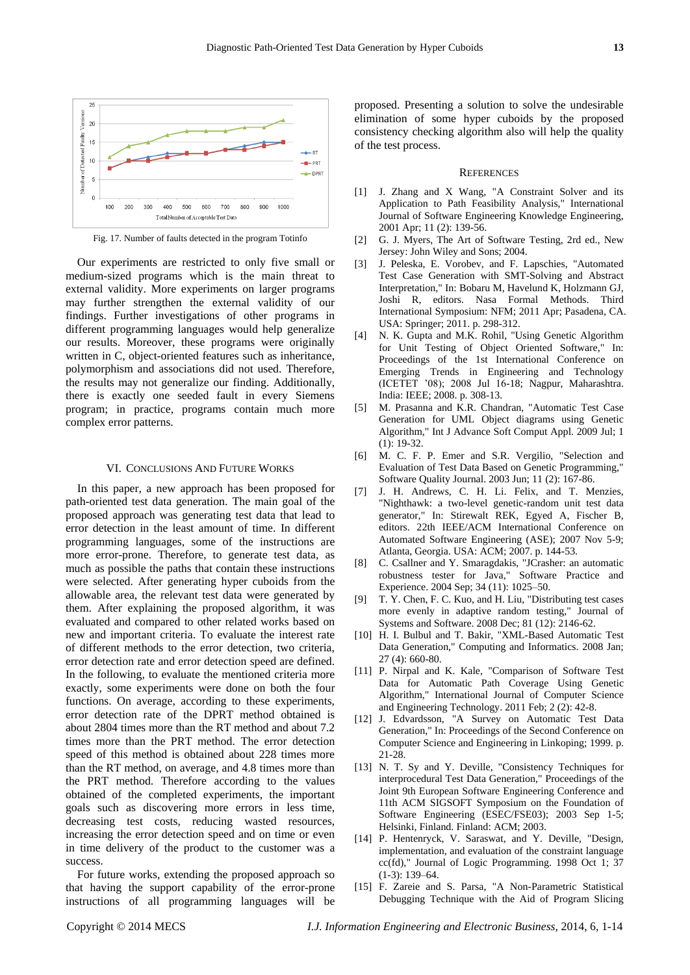

Fig. 17. Number of faults detected in the program Totinfo

Our experiments are restricted to only five small or medium-sized programs which is the main threat to external validity. More experiments on larger programs may further strengthen the external validity of our findings. Further investigations of other programs in different programming languages would help generalize our results. Moreover, these programs were originally written in C, object-oriented features such as inheritance, polymorphism and associations did not used. Therefore, the results may not generalize our finding. Additionally, there is exactly one seeded fault in every Siemens program; in practice, programs contain much more complex error patterns.

#### VI. CONCLUSIONS AND FUTURE WORKS

In this paper, a new approach has been proposed for path-oriented test data generation. The main goal of the proposed approach was generating test data that lead to error detection in the least amount of time. In different programming languages, some of the instructions are more error-prone. Therefore, to generate test data, as much as possible the paths that contain these instructions were selected. After generating hyper cuboids from the allowable area, the relevant test data were generated by them. After explaining the proposed algorithm, it was evaluated and compared to other related works based on new and important criteria. To evaluate the interest rate of different methods to the error detection, two criteria, error detection rate and error detection speed are defined. In the following, to evaluate the mentioned criteria more exactly, some experiments were done on both the four functions. On average, according to these experiments, error detection rate of the DPRT method obtained is about 2804 times more than the RT method and about 7.2 times more than the PRT method. The error detection speed of this method is obtained about 228 times more than the RT method, on average, and 4.8 times more than the PRT method. Therefore according to the values obtained of the completed experiments, the important goals such as discovering more errors in less time, decreasing test costs, reducing wasted resources, increasing the error detection speed and on time or even in time delivery of the product to the customer was a success.

For future works, extending the proposed approach so that having the support capability of the error-prone instructions of all programming languages will be proposed. Presenting a solution to solve the undesirable elimination of some hyper cuboids by the proposed consistency checking algorithm also will help the quality of the test process.

#### **REFERENCES**

- [1] J. Zhang and X Wang, "A Constraint Solver and its Application to Path Feasibility Analysis," International Journal of Software Engineering Knowledge Engineering, 2001 Apr; 11 (2): 139-56.
- [2] G. J. Myers, The Art of Software Testing, 2rd ed., New Jersey: John Wiley and Sons; 2004.
- [3] J. Peleska, E. Vorobev, and F. Lapschies, "Automated Test Case Generation with SMT-Solving and Abstract Interpretation," In: Bobaru M, Havelund K, Holzmann GJ, Joshi R, editors. Nasa Formal Methods. Third International Symposium: NFM; 2011 Apr; Pasadena, CA. USA: Springer; 2011. p. 298-312.
- [4] N. K. Gupta and M.K. Rohil, "Using Genetic Algorithm for Unit Testing of Object Oriented Software," In: Proceedings of the 1st International Conference on Emerging Trends in Engineering and Technology (ICETET '08); 2008 Jul 16-18; Nagpur, Maharashtra. India: IEEE; 2008. p. 308-13.
- [5] M. Prasanna and K.R. Chandran, "Automatic Test Case Generation for UML Object diagrams using Genetic Algorithm," Int J Advance Soft Comput Appl. 2009 Jul; 1 (1): 19-32.
- [6] M. C. F. P. Emer and S.R. Vergilio, "Selection and Evaluation of Test Data Based on Genetic Programming," Software Quality Journal. 2003 Jun; 11 (2): 167-86.
- [7] J. H. Andrews, C. H. Li. Felix, and T. Menzies, "Nighthawk: a two-level genetic-random unit test data generator," In: Stirewalt REK, Egyed A, Fischer B, editors. 22th IEEE/ACM International Conference on Automated Software Engineering (ASE); 2007 Nov 5-9; Atlanta, Georgia. USA: ACM; 2007. p. 144-53.
- [8] C. Csallner and Y. Smaragdakis, "JCrasher: an automatic robustness tester for Java," Software Practice and Experience. 2004 Sep; 34 (11): 1025–50.
- [9] T. Y. Chen, F. C. Kuo, and H. Liu, "Distributing test cases more evenly in adaptive random testing," Journal of Systems and Software. 2008 Dec; 81 (12): 2146-62.
- [10] H. I. Bulbul and T. Bakir, "XML-Based Automatic Test Data Generation," Computing and Informatics. 2008 Jan; 27 (4): 660-80.
- [11] P. Nirpal and K. Kale, "Comparison of Software Test Data for Automatic Path Coverage Using Genetic Algorithm," International Journal of Computer Science and Engineering Technology. 2011 Feb; 2 (2): 42-8.
- [12] J. Edvardsson, "A Survey on Automatic Test Data Generation," In: Proceedings of the Second Conference on Computer Science and Engineering in Linkoping; 1999. p. 21-28.
- [13] N. T. Sy and Y. Deville, "Consistency Techniques for interprocedural Test Data Generation," Proceedings of the Joint 9th European Software Engineering Conference and 11th ACM SIGSOFT Symposium on the Foundation of Software Engineering (ESEC/FSE03); 2003 Sep 1-5; Helsinki, Finland. Finland: ACM; 2003.
- [14] P. Hentenryck, V. Saraswat, and Y. Deville, "Design, implementation, and evaluation of the constraint language cc(fd)," Journal of Logic Programming. 1998 Oct 1; 37 (1-3): 139–64.
- [15] F. Zareie and S. Parsa, "A Non-Parametric Statistical Debugging Technique with the Aid of Program Slicing